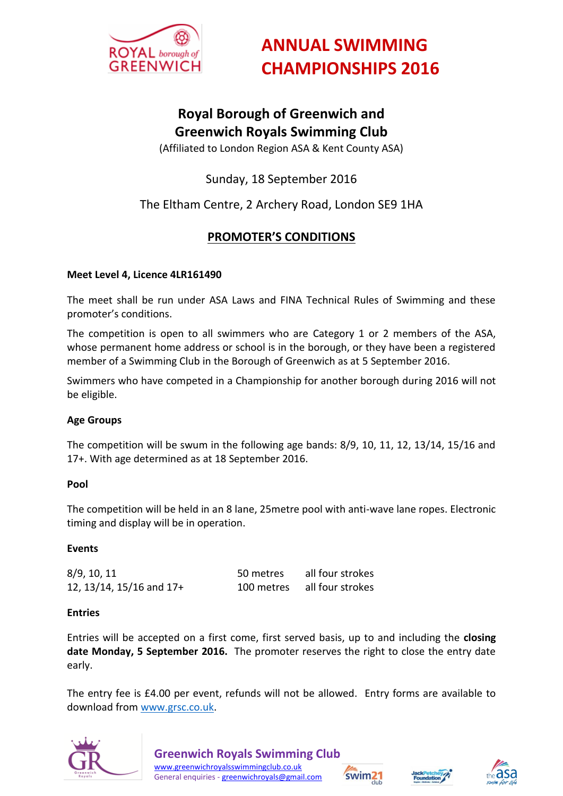

# **ANNUAL SWIMMING CHAMPIONSHIPS 2016**

## **Royal Borough of Greenwich and Greenwich Royals Swimming Club**

(Affiliated to London Region ASA & Kent County ASA)

## Sunday, 18 September 2016

### The Eltham Centre, 2 Archery Road, London SE9 1HA

### **PROMOTER'S CONDITIONS**

#### **Meet Level 4, Licence 4LR161490**

The meet shall be run under ASA Laws and FINA Technical Rules of Swimming and these promoter's conditions.

The competition is open to all swimmers who are Category 1 or 2 members of the ASA, whose permanent home address or school is in the borough, or they have been a registered member of a Swimming Club in the Borough of Greenwich as at 5 September 2016.

Swimmers who have competed in a Championship for another borough during 2016 will not be eligible.

#### **Age Groups**

The competition will be swum in the following age bands: 8/9, 10, 11, 12, 13/14, 15/16 and 17+. With age determined as at 18 September 2016.

#### **Pool**

The competition will be held in an 8 lane, 25metre pool with anti-wave lane ropes. Electronic timing and display will be in operation.

#### **Events**

| 8/9, 10, 11              | 50 metres | all four strokes            |
|--------------------------|-----------|-----------------------------|
| 12, 13/14, 15/16 and 17+ |           | 100 metres all four strokes |

#### **Entries**

Entries will be accepted on a first come, first served basis, up to and including the **closing date Monday, 5 September 2016.** The promoter reserves the right to close the entry date early.

The entry fee is £4.00 per event, refunds will not be allowed. Entry forms are available to download fro[m www.grsc.co.uk.](http://www.grsc.co.uk/)







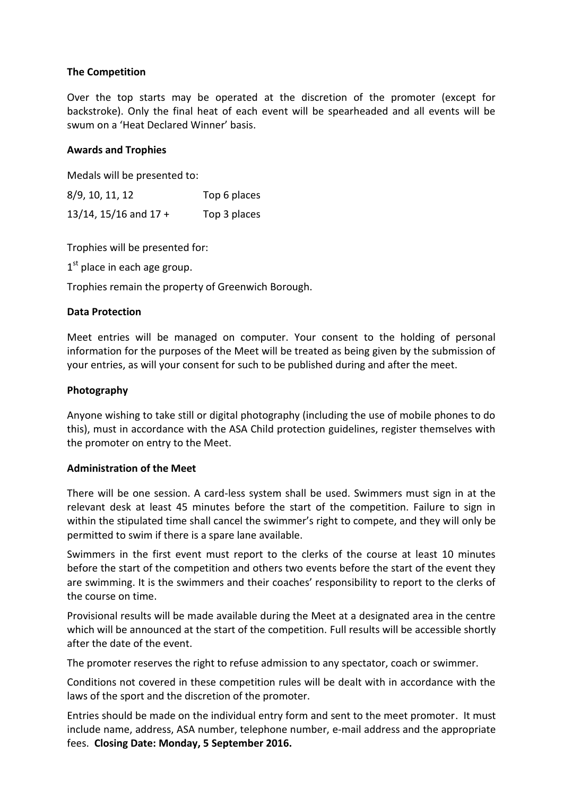#### **The Competition**

Over the top starts may be operated at the discretion of the promoter (except for backstroke). Only the final heat of each event will be spearheaded and all events will be swum on a 'Heat Declared Winner' basis.

#### **Awards and Trophies**

Medals will be presented to:

8/9, 10, 11, 12 Top 6 places 13/14, 15/16 and 17 + Top 3 places

Trophies will be presented for:

 $1<sup>st</sup>$  place in each age group.

Trophies remain the property of Greenwich Borough.

#### **Data Protection**

Meet entries will be managed on computer. Your consent to the holding of personal information for the purposes of the Meet will be treated as being given by the submission of your entries, as will your consent for such to be published during and after the meet.

#### **Photography**

Anyone wishing to take still or digital photography (including the use of mobile phones to do this), must in accordance with the ASA Child protection guidelines, register themselves with the promoter on entry to the Meet.

#### **Administration of the Meet**

There will be one session. A card-less system shall be used. Swimmers must sign in at the relevant desk at least 45 minutes before the start of the competition. Failure to sign in within the stipulated time shall cancel the swimmer's right to compete, and they will only be permitted to swim if there is a spare lane available.

Swimmers in the first event must report to the clerks of the course at least 10 minutes before the start of the competition and others two events before the start of the event they are swimming. It is the swimmers and their coaches' responsibility to report to the clerks of the course on time.

Provisional results will be made available during the Meet at a designated area in the centre which will be announced at the start of the competition. Full results will be accessible shortly after the date of the event.

The promoter reserves the right to refuse admission to any spectator, coach or swimmer.

Conditions not covered in these competition rules will be dealt with in accordance with the laws of the sport and the discretion of the promoter.

Entries should be made on the individual entry form and sent to the meet promoter. It must include name, address, ASA number, telephone number, e-mail address and the appropriate fees. **Closing Date: Monday, 5 September 2016.**